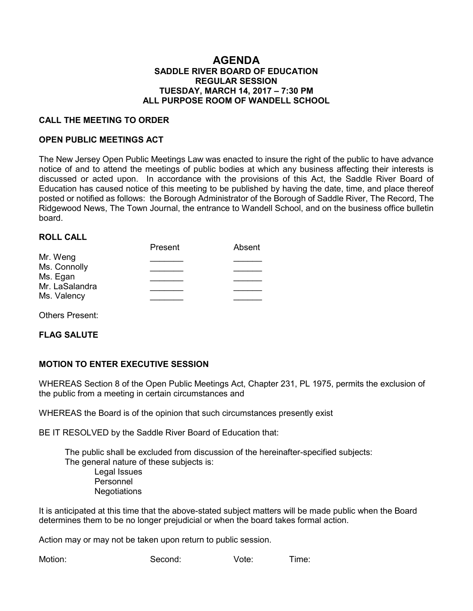### **AGENDA SADDLE RIVER BOARD OF EDUCATION REGULAR SESSION TUESDAY, MARCH 14, 2017 – 7:30 PM ALL PURPOSE ROOM OF WANDELL SCHOOL**

### **CALL THE MEETING TO ORDER**

#### **OPEN PUBLIC MEETINGS ACT**

The New Jersey Open Public Meetings Law was enacted to insure the right of the public to have advance notice of and to attend the meetings of public bodies at which any business affecting their interests is discussed or acted upon. In accordance with the provisions of this Act, the Saddle River Board of Education has caused notice of this meeting to be published by having the date, time, and place thereof posted or notified as follows: the Borough Administrator of the Borough of Saddle River, The Record, The Ridgewood News, The Town Journal, the entrance to Wandell School, and on the business office bulletin board.

#### **ROLL CALL**

|                               | Present | Absent |
|-------------------------------|---------|--------|
| Mr. Weng<br>Ms. Connolly      |         |        |
|                               |         |        |
| Ms. Egan                      |         |        |
| Mr. LaSalandra<br>Ms. Valency |         |        |
|                               |         |        |

Others Present:

#### **FLAG SALUTE**

## **MOTION TO ENTER EXECUTIVE SESSION**

WHEREAS Section 8 of the Open Public Meetings Act, Chapter 231, PL 1975, permits the exclusion of the public from a meeting in certain circumstances and

WHEREAS the Board is of the opinion that such circumstances presently exist

BE IT RESOLVED by the Saddle River Board of Education that:

 The public shall be excluded from discussion of the hereinafter-specified subjects: The general nature of these subjects is: Legal Issues Personnel **Negotiations** 

It is anticipated at this time that the above-stated subject matters will be made public when the Board determines them to be no longer prejudicial or when the board takes formal action.

Action may or may not be taken upon return to public session.

Motion: Second: Vote: Time: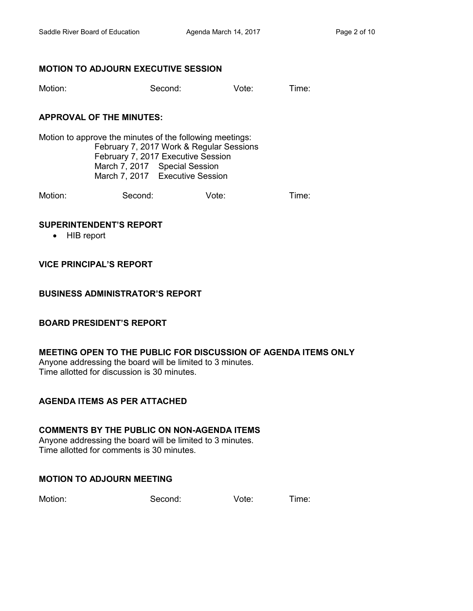## **MOTION TO ADJOURN EXECUTIVE SESSION**

| Motion: | Second: | Vote: | Time: |
|---------|---------|-------|-------|
|         |         |       |       |

## **APPROVAL OF THE MINUTES:**

Motion to approve the minutes of the following meetings: February 7, 2017 Work & Regular Sessions February 7, 2017 Executive Session March 7, 2017 Special Session March 7, 2017 Executive Session

Motion: Second: Vote: Time:

# **SUPERINTENDENT'S REPORT**

• HIB report

# **VICE PRINCIPAL'S REPORT**

## **BUSINESS ADMINISTRATOR'S REPORT**

## **BOARD PRESIDENT'S REPORT**

## **MEETING OPEN TO THE PUBLIC FOR DISCUSSION OF AGENDA ITEMS ONLY**

Anyone addressing the board will be limited to 3 minutes. Time allotted for discussion is 30 minutes.

# **AGENDA ITEMS AS PER ATTACHED**

## **COMMENTS BY THE PUBLIC ON NON-AGENDA ITEMS**

Anyone addressing the board will be limited to 3 minutes. Time allotted for comments is 30 minutes.

# **MOTION TO ADJOURN MEETING**

Motion: Second: Vote: Time: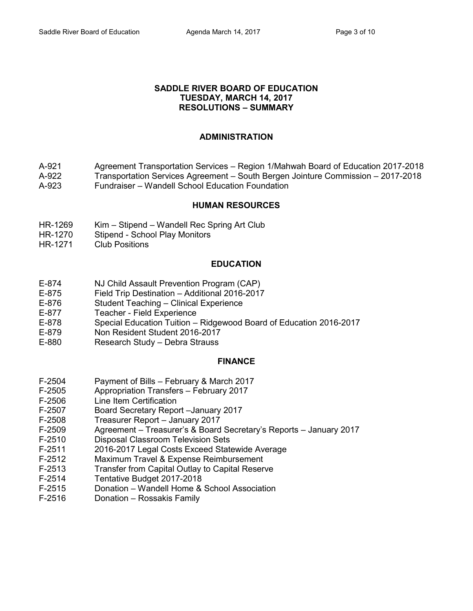#### **SADDLE RIVER BOARD OF EDUCATION TUESDAY, MARCH 14, 2017 RESOLUTIONS – SUMMARY**

## **ADMINISTRATION**

- A-921 Agreement Transportation Services Region 1/Mahwah Board of Education 2017-2018
- A-922 Transportation Services Agreement South Bergen Jointure Commission 2017-2018
- A-923 Fundraiser Wandell School Education Foundation

## **HUMAN RESOURCES**

- HR-1269 Kim Stipend Wandell Rec Spring Art Club
- HR-1270 Stipend School Play Monitors
- HR-1271 Club Positions

### **EDUCATION**

- E-874 NJ Child Assault Prevention Program (CAP)
- E-875 Field Trip Destination Additional 2016-2017
- E-876 Student Teaching Clinical Experience
- E-877 Teacher Field Experience
- E-878 Special Education Tuition Ridgewood Board of Education 2016-2017
- E-879 Non Resident Student 2016-2017
- E-880 Research Study Debra Strauss

#### **FINANCE**

- F-2504 Payment of Bills February & March 2017
- F-2505 Appropriation Transfers February 2017
- F-2506 Line Item Certification
- F-2507 Board Secretary Report –January 2017
- F-2508 Treasurer Report January 2017
- F-2509 Agreement Treasurer's & Board Secretary's Reports January 2017
- F-2510 Disposal Classroom Television Sets
- F-2511 2016-2017 Legal Costs Exceed Statewide Average
- F-2512 Maximum Travel & Expense Reimbursement
- F-2513 Transfer from Capital Outlay to Capital Reserve
- F-2514 Tentative Budget 2017-2018
- F-2515 Donation Wandell Home & School Association
- F-2516 Donation Rossakis Family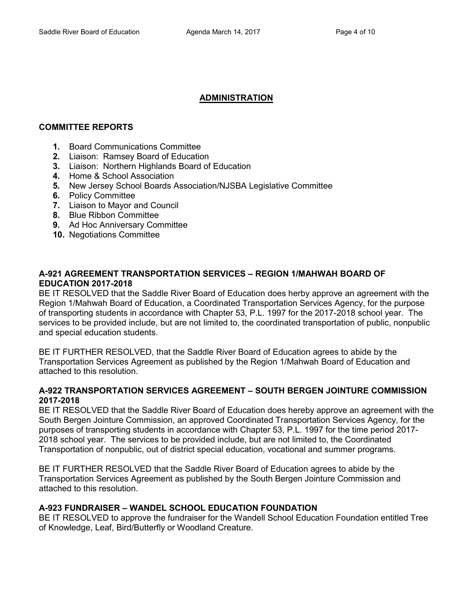# **ADMINISTRATION**

## **COMMITTEE REPORTS**

- **1.** Board Communications Committee
- **2.** Liaison: Ramsey Board of Education
- **3.** Liaison: Northern Highlands Board of Education
- **4.** Home & School Association
- **5.** New Jersey School Boards Association/NJSBA Legislative Committee
- **6.** Policy Committee
- **7.** Liaison to Mayor and Council
- **8.** Blue Ribbon Committee
- **9.** Ad Hoc Anniversary Committee
- **10.** Negotiations Committee

## **A-921 AGREEMENT TRANSPORTATION SERVICES – REGION 1/MAHWAH BOARD OF EDUCATION 2017-2018**

BE IT RESOLVED that the Saddle River Board of Education does herby approve an agreement with the Region 1/Mahwah Board of Education, a Coordinated Transportation Services Agency, for the purpose of transporting students in accordance with Chapter 53, P.L. 1997 for the 2017-2018 school year. The services to be provided include, but are not limited to, the coordinated transportation of public, nonpublic and special education students.

BE IT FURTHER RESOLVED, that the Saddle River Board of Education agrees to abide by the Transportation Services Agreement as published by the Region 1/Mahwah Board of Education and attached to this resolution.

### **A-922 TRANSPORTATION SERVICES AGREEMENT – SOUTH BERGEN JOINTURE COMMISSION 2017-2018**

BE IT RESOLVED that the Saddle River Board of Education does hereby approve an agreement with the South Bergen Jointure Commission, an approved Coordinated Transportation Services Agency, for the purposes of transporting students in accordance with Chapter 53, P.L. 1997 for the time period 2017- 2018 school year. The services to be provided include, but are not limited to, the Coordinated Transportation of nonpublic, out of district special education, vocational and summer programs.

BE IT FURTHER RESOLVED that the Saddle River Board of Education agrees to abide by the Transportation Services Agreement as published by the South Bergen Jointure Commission and attached to this resolution.

## **A-923 FUNDRAISER – WANDEL SCHOOL EDUCATION FOUNDATION**

BE IT RESOLVED to approve the fundraiser for the Wandell School Education Foundation entitled Tree of Knowledge, Leaf, Bird/Butterfly or Woodland Creature.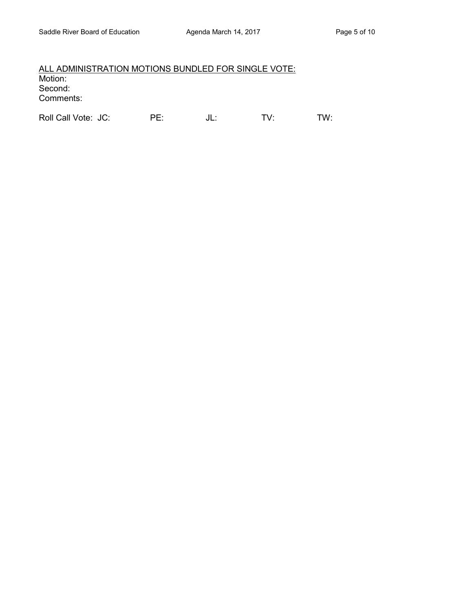### ALL ADMINISTRATION MOTIONS BUNDLED FOR SINGLE VOTE: Motion: Second: Comments:

Roll Call Vote: JC: PE: JL: TV: TW: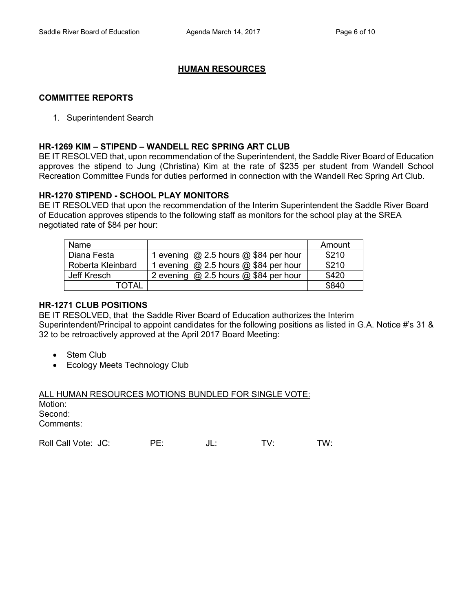## **HUMAN RESOURCES**

### **COMMITTEE REPORTS**

1. Superintendent Search

### **HR-1269 KIM – STIPEND – WANDELL REC SPRING ART CLUB**

BE IT RESOLVED that, upon recommendation of the Superintendent, the Saddle River Board of Education approves the stipend to Jung (Christina) Kim at the rate of \$235 per student from Wandell School Recreation Committee Funds for duties performed in connection with the Wandell Rec Spring Art Club.

### **HR-1270 STIPEND - SCHOOL PLAY MONITORS**

BE IT RESOLVED that upon the recommendation of the Interim Superintendent the Saddle River Board of Education approves stipends to the following staff as monitors for the school play at the SREA negotiated rate of \$84 per hour:

| Name              |                                                     | Amount |
|-------------------|-----------------------------------------------------|--------|
| Diana Festa       | 1 evening $\omega$ 2.5 hours $\omega$ \$84 per hour | \$210  |
| Roberta Kleinbard | 1 evening @ 2.5 hours @ \$84 per hour               | \$210  |
| Jeff Kresch       | 2 evening $@$ 2.5 hours $@$ \$84 per hour           | \$420  |
| TOTAL             |                                                     | \$840  |

### **HR-1271 CLUB POSITIONS**

BE IT RESOLVED, that the Saddle River Board of Education authorizes the Interim Superintendent/Principal to appoint candidates for the following positions as listed in G.A. Notice #'s 31 & 32 to be retroactively approved at the April 2017 Board Meeting:

- Stem Club
- Ecology Meets Technology Club

| ALL HUMAN RESOURCES MOTIONS BUNDLED FOR SINGLE VOTE: |     |      |  |
|------------------------------------------------------|-----|------|--|
| Motion:                                              |     |      |  |
| Second:                                              |     |      |  |
| Comments:                                            |     |      |  |
|                                                      |     |      |  |
| Roll Call Vote: JC:                                  | PF∙ | T∖/∙ |  |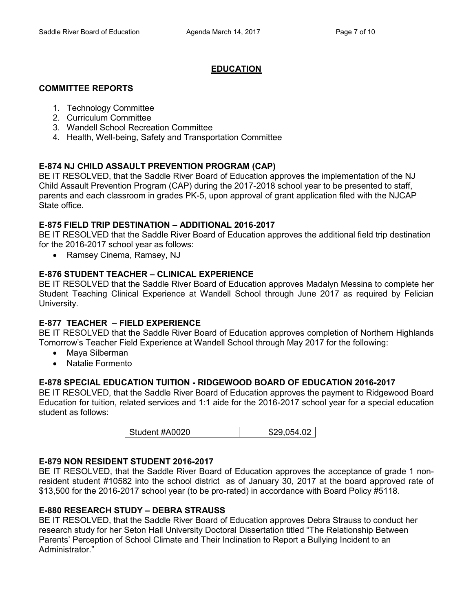# **EDUCATION**

# **COMMITTEE REPORTS**

- 1. Technology Committee
- 2. Curriculum Committee
- 3. Wandell School Recreation Committee
- 4. Health, Well-being, Safety and Transportation Committee

# **E-874 NJ CHILD ASSAULT PREVENTION PROGRAM (CAP)**

BE IT RESOLVED, that the Saddle River Board of Education approves the implementation of the NJ Child Assault Prevention Program (CAP) during the 2017-2018 school year to be presented to staff, parents and each classroom in grades PK-5, upon approval of grant application filed with the NJCAP State office.

# **E-875 FIELD TRIP DESTINATION – ADDITIONAL 2016-2017**

BE IT RESOLVED that the Saddle River Board of Education approves the additional field trip destination for the 2016-2017 school year as follows:

• Ramsey Cinema, Ramsey, NJ

# **E-876 STUDENT TEACHER – CLINICAL EXPERIENCE**

BE IT RESOLVED that the Saddle River Board of Education approves Madalyn Messina to complete her Student Teaching Clinical Experience at Wandell School through June 2017 as required by Felician University.

# **E-877 TEACHER – FIELD EXPERIENCE**

BE IT RESOLVED that the Saddle River Board of Education approves completion of Northern Highlands Tomorrow's Teacher Field Experience at Wandell School through May 2017 for the following:

- Maya Silberman
- Natalie Formento

# **E-878 SPECIAL EDUCATION TUITION - RIDGEWOOD BOARD OF EDUCATION 2016-2017**

BE IT RESOLVED, that the Saddle River Board of Education approves the payment to Ridgewood Board Education for tuition, related services and 1:1 aide for the 2016-2017 school year for a special education student as follows:

Student #A0020 **\$29,054.02** 

## **E-879 NON RESIDENT STUDENT 2016-2017**

BE IT RESOLVED, that the Saddle River Board of Education approves the acceptance of grade 1 nonresident student #10582 into the school district as of January 30, 2017 at the board approved rate of \$13,500 for the 2016-2017 school year (to be pro-rated) in accordance with Board Policy #5118.

# **E-880 RESEARCH STUDY – DEBRA STRAUSS**

BE IT RESOLVED, that the Saddle River Board of Education approves Debra Strauss to conduct her research study for her Seton Hall University Doctoral Dissertation titled "The Relationship Between Parents' Perception of School Climate and Their Inclination to Report a Bullying Incident to an Administrator."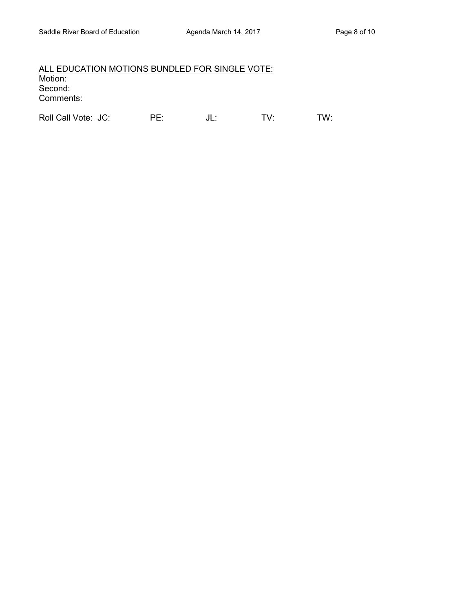# ALL EDUCATION MOTIONS BUNDLED FOR SINGLE VOTE: Motion: Second:

Comments:

Roll Call Vote: JC: PE: JL: TV: TW: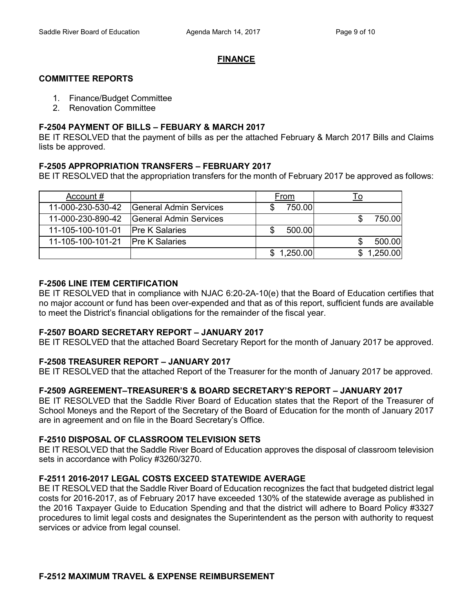#### **FINANCE**

### **COMMITTEE REPORTS**

- 1. Finance/Budget Committee
- 2. Renovation Committee

## **F-2504 PAYMENT OF BILLS – FEBUARY & MARCH 2017**

BE IT RESOLVED that the payment of bills as per the attached February & March 2017 Bills and Claims lists be approved.

### **F-2505 APPROPRIATION TRANSFERS – FEBRUARY 2017**

BE IT RESOLVED that the appropriation transfers for the month of February 2017 be approved as follows:

| Account #         |                               | From       |            |
|-------------------|-------------------------------|------------|------------|
| 11-000-230-530-42 | General Admin Services        | 750.00     |            |
| 11-000-230-890-42 | <b>General Admin Services</b> |            | 750.00     |
| 11-105-100-101-01 | <b>Pre K Salaries</b>         | 500.00     |            |
| 11-105-100-101-21 | <b>Pre K Salaries</b>         |            | 500.00     |
|                   |                               | \$1,250.00 | \$1,250.00 |

### **F-2506 LINE ITEM CERTIFICATION**

BE IT RESOLVED that in compliance with NJAC 6:20-2A-10(e) that the Board of Education certifies that no major account or fund has been over-expended and that as of this report, sufficient funds are available to meet the District's financial obligations for the remainder of the fiscal year.

## **F-2507 BOARD SECRETARY REPORT – JANUARY 2017**

BE IT RESOLVED that the attached Board Secretary Report for the month of January 2017 be approved.

## **F-2508 TREASURER REPORT – JANUARY 2017**

BE IT RESOLVED that the attached Report of the Treasurer for the month of January 2017 be approved.

## **F-2509 AGREEMENT–TREASURER'S & BOARD SECRETARY'S REPORT – JANUARY 2017**

BE IT RESOLVED that the Saddle River Board of Education states that the Report of the Treasurer of School Moneys and the Report of the Secretary of the Board of Education for the month of January 2017 are in agreement and on file in the Board Secretary's Office.

### **F-2510 DISPOSAL OF CLASSROOM TELEVISION SETS**

BE IT RESOLVED that the Saddle River Board of Education approves the disposal of classroom television sets in accordance with Policy #3260/3270.

## **F-2511 2016-2017 LEGAL COSTS EXCEED STATEWIDE AVERAGE**

BE IT RESOLVED that the Saddle River Board of Education recognizes the fact that budgeted district legal costs for 2016-2017, as of February 2017 have exceeded 130% of the statewide average as published in the 2016 Taxpayer Guide to Education Spending and that the district will adhere to Board Policy #3327 procedures to limit legal costs and designates the Superintendent as the person with authority to request services or advice from legal counsel.